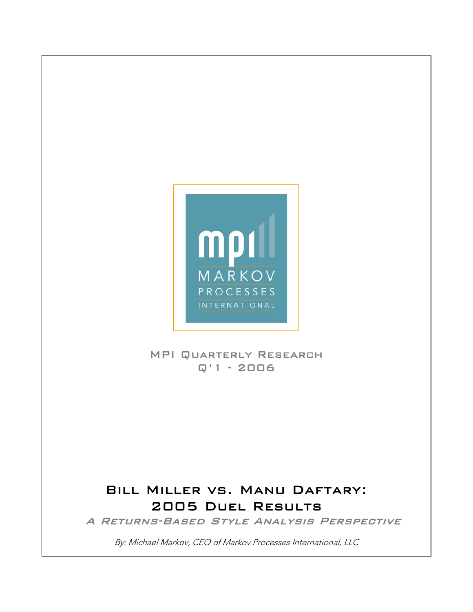

 $\overline{\phantom{a}}$  $\overline{\phantom{a}}$  $\overline{\phantom{a}}$  $\overline{\phantom{a}}$  $\overline{\phantom{a}}$  $\overline{\phantom{a}}$  $\overline{\phantom{a}}$  $\overline{\phantom{a}}$  $\overline{\phantom{a}}$ 

 $\overline{\phantom{a}}$  $\overline{\phantom{a}}$  $\overline{\phantom{a}}$  $\overline{\phantom{a}}$  $\overline{\phantom{a}}$  $\overline{\phantom{a}}$  $\overline{\phantom{a}}$ 

 

## MPI Quarterly Research Q'1 - 2006

## Bill Miller vs. Manu Daftary: 2005 Duel Results

A Returns-Based Style Analysis Perspective

By: Michael Markov, CEO of Markov Processes International, LLC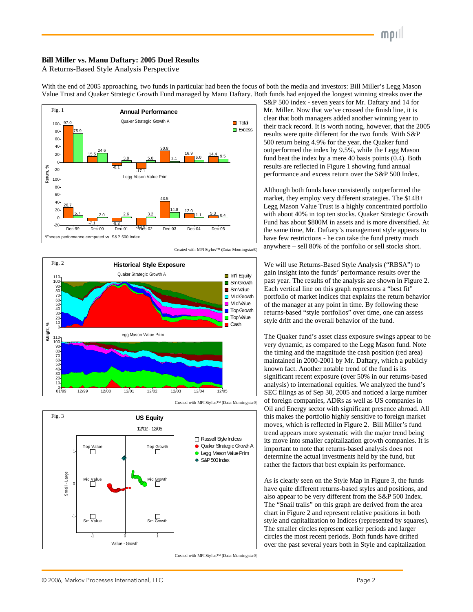## **Bill Miller vs. Manu Daftary: 2005 Duel Results**

A Returns-Based Style Analysis Perspective







With the end of 2005 approaching, two funds in particular had been the focus of both the media and investors: Bill Miller's Legg Mason



Created with MPI Stylus™ (Data: Morningstar®)

Value Trust and Quaker Strategic Growth Fund managed by Manu Daftary. Both funds had enjoyed the longest winning streaks over the S&P 500 index - seven years for Mr. Daftary and 14 for Mr. Miller. Now that we've crossed the finish line, it is clear that both managers added another winning year to their track record. It is worth noting, however, that the 2005 results were quite different for the two funds With S&P 500 return being 4.9% for the year, the Quaker fund outperformed the index by 9.5%, while the Legg Mason fund beat the index by a mere 40 basis points (0.4). Both results are reflected in Figure 1 showing fund annual performance and excess return over the S&P 500 Index.

> Although both funds have consistently outperformed the market, they employ very different strategies. The \$14B+ Legg Mason Value Trust is a highly concentrated portfolio with about 40% in top ten stocks. Quaker Strategic Growth Fund has about \$800M in assets and is more diversified. At the same time, Mr. Daftary's management style appears to have few restrictions - he can take the fund pretty much anywhere – sell 80% of the portfolio or sell stocks short.

> gain insight into the funds' performance results over the past year. The results of the analysis are shown in Figure 2. Each vertical line on this graph represents a "best fit" portfolio of market indices that explains the return behav ior of the manager at any point in time. By following these returns-based "style portfolios" over time, one can assess style drift and the overall behavior of the fund.

> The Quaker fund's asset class exposure swings appear to be maintained in 2000-2001 by Mr. Daftary, which a publicly significant recent exposure (over 50% in our returns-based of foreign companies, ADRs as well as US companies in Oil and Energy sector with significant presence abroad. All this makes the portfolio highly sensitive to foreign market its move into smaller capitalization growth companies. It is very dynamic, as compared to the Legg Mason fund. Note the timing and the magnitude the cash position (red area) known fact. Another notable trend of the fund is its analysis) to international equities. We analyzed the fund's SEC filings as of Sep 30, 2005 and noticed a large number moves, which is reflected in Figure 2. Bill Miller's fund trend appears more systematic with the major trend being important to note that returns-based analysis does not determine the actual investments held by the fund, but rather the factors that best explain its performance.

As is clearly seen on the Style Map in Figure 3, the funds style and capitalization to Indices (represented by squares). have quite different returns-based styles and positions, and also appear to be very different from the S&P 500 Index. The "Snail trails" on this graph are derived from the area chart in Figure 2 and represent relative positions in both The smaller circles represent earlier periods and larger circles the most recent periods. Both funds have drifted over the past several years both in Style and capitalization